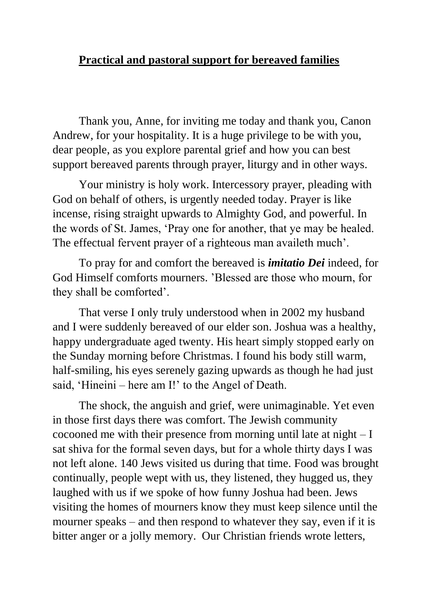## **Practical and pastoral support for bereaved families**

Thank you, Anne, for inviting me today and thank you, Canon Andrew, for your hospitality. It is a huge privilege to be with you, dear people, as you explore parental grief and how you can best support bereaved parents through prayer, liturgy and in other ways.

Your ministry is holy work. Intercessory prayer, pleading with God on behalf of others, is urgently needed today. Prayer is like incense, rising straight upwards to Almighty God, and powerful. In the words of St. James, 'Pray one for another, that ye may be healed. The effectual fervent prayer of a righteous man availeth much'.

To pray for and comfort the bereaved is *imitatio Dei* indeed, for God Himself comforts mourners. 'Blessed are those who mourn, for they shall be comforted'.

That verse I only truly understood when in 2002 my husband and I were suddenly bereaved of our elder son. Joshua was a healthy, happy undergraduate aged twenty. His heart simply stopped early on the Sunday morning before Christmas. I found his body still warm, half-smiling, his eyes serenely gazing upwards as though he had just said, 'Hineini – here am I!' to the Angel of Death.

The shock, the anguish and grief, were unimaginable. Yet even in those first days there was comfort. The Jewish community cocooned me with their presence from morning until late at night – I sat shiva for the formal seven days, but for a whole thirty days I was not left alone. 140 Jews visited us during that time. Food was brought continually, people wept with us, they listened, they hugged us, they laughed with us if we spoke of how funny Joshua had been. Jews visiting the homes of mourners know they must keep silence until the mourner speaks – and then respond to whatever they say, even if it is bitter anger or a jolly memory. Our Christian friends wrote letters,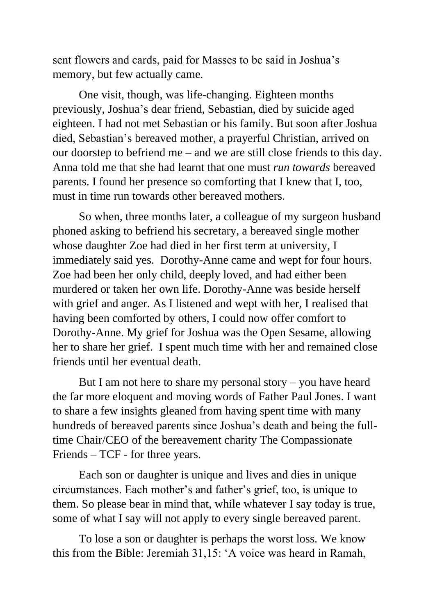sent flowers and cards, paid for Masses to be said in Joshua's memory, but few actually came.

One visit, though, was life-changing. Eighteen months previously, Joshua's dear friend, Sebastian, died by suicide aged eighteen. I had not met Sebastian or his family. But soon after Joshua died, Sebastian's bereaved mother, a prayerful Christian, arrived on our doorstep to befriend me – and we are still close friends to this day. Anna told me that she had learnt that one must *run towards* bereaved parents. I found her presence so comforting that I knew that I, too, must in time run towards other bereaved mothers.

So when, three months later, a colleague of my surgeon husband phoned asking to befriend his secretary, a bereaved single mother whose daughter Zoe had died in her first term at university, I immediately said yes. Dorothy-Anne came and wept for four hours. Zoe had been her only child, deeply loved, and had either been murdered or taken her own life. Dorothy-Anne was beside herself with grief and anger. As I listened and wept with her, I realised that having been comforted by others, I could now offer comfort to Dorothy-Anne. My grief for Joshua was the Open Sesame, allowing her to share her grief. I spent much time with her and remained close friends until her eventual death.

But I am not here to share my personal story  $-$  you have heard the far more eloquent and moving words of Father Paul Jones. I want to share a few insights gleaned from having spent time with many hundreds of bereaved parents since Joshua's death and being the fulltime Chair/CEO of the bereavement charity The Compassionate Friends – TCF - for three years.

Each son or daughter is unique and lives and dies in unique circumstances. Each mother's and father's grief, too, is unique to them. So please bear in mind that, while whatever I say today is true, some of what I say will not apply to every single bereaved parent.

To lose a son or daughter is perhaps the worst loss. We know this from the Bible: Jeremiah 31,15: 'A voice was heard in Ramah,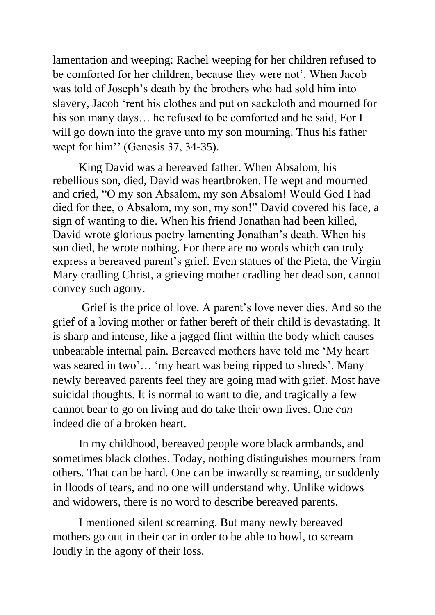lamentation and weeping: Rachel weeping for her children refused to be comforted for her children, because they were not'. When Jacob was told of Joseph's death by the brothers who had sold him into slavery, Jacob 'rent his clothes and put on sackcloth and mourned for his son many days... he refused to be comforted and he said, For I will go down into the grave unto my son mourning. Thus his father wept for him'' (Genesis 37, 34-35).

King David was a bereaved father. When Absalom, his rebellious son, died, David was heartbroken. He wept and mourned and cried, "O my son Absalom, my son Absalom! Would God I had died for thee, o Absalom, my son, my son!" David covered his face, a sign of wanting to die. When his friend Jonathan had been killed, David wrote glorious poetry lamenting Jonathan's death. When his son died, he wrote nothing. For there are no words which can truly express a bereaved parent's grief. Even statues of the Pieta, the Virgin Mary cradling Christ, a grieving mother cradling her dead son, cannot convey such agony.

Grief is the price of love. A parent's love never dies. And so the grief of a loving mother or father bereft of their child is devastating. It is sharp and intense, like a jagged flint within the body which causes unbearable internal pain. Bereaved mothers have told me 'My heart was seared in two'… 'my heart was being ripped to shreds'. Many newly bereaved parents feel they are going mad with grief. Most have suicidal thoughts. It is normal to want to die, and tragically a few cannot bear to go on living and do take their own lives. One *can* indeed die of a broken heart.

In my childhood, bereaved people wore black armbands, and sometimes black clothes. Today, nothing distinguishes mourners from others. That can be hard. One can be inwardly screaming, or suddenly in floods of tears, and no one will understand why. Unlike widows and widowers, there is no word to describe bereaved parents.

I mentioned silent screaming. But many newly bereaved mothers go out in their car in order to be able to howl, to scream loudly in the agony of their loss.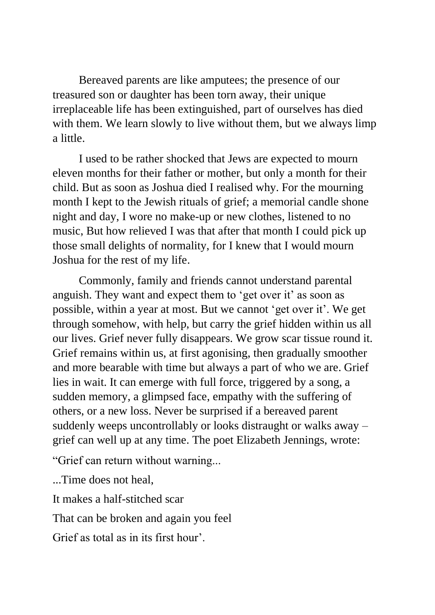Bereaved parents are like amputees; the presence of our treasured son or daughter has been torn away, their unique irreplaceable life has been extinguished, part of ourselves has died with them. We learn slowly to live without them, but we always limp a little.

I used to be rather shocked that Jews are expected to mourn eleven months for their father or mother, but only a month for their child. But as soon as Joshua died I realised why. For the mourning month I kept to the Jewish rituals of grief; a memorial candle shone night and day, I wore no make-up or new clothes, listened to no music, But how relieved I was that after that month I could pick up those small delights of normality, for I knew that I would mourn Joshua for the rest of my life.

Commonly, family and friends cannot understand parental anguish. They want and expect them to 'get over it' as soon as possible, within a year at most. But we cannot 'get over it'. We get through somehow, with help, but carry the grief hidden within us all our lives. Grief never fully disappears. We grow scar tissue round it. Grief remains within us, at first agonising, then gradually smoother and more bearable with time but always a part of who we are. Grief lies in wait. It can emerge with full force, triggered by a song, a sudden memory, a glimpsed face, empathy with the suffering of others, or a new loss. Never be surprised if a bereaved parent suddenly weeps uncontrollably or looks distraught or walks away – grief can well up at any time. The poet Elizabeth Jennings, wrote:

"Grief can return without warning...

...Time does not heal,

It makes a half-stitched scar

That can be broken and again you feel

Grief as total as in its first hour'.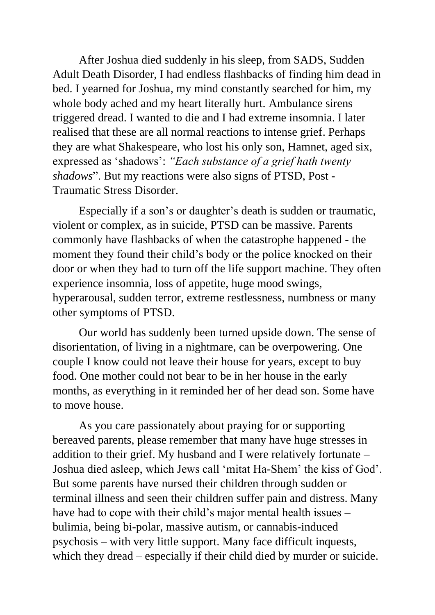After Joshua died suddenly in his sleep, from SADS, Sudden Adult Death Disorder, I had endless flashbacks of finding him dead in bed. I yearned for Joshua, my mind constantly searched for him, my whole body ached and my heart literally hurt. Ambulance sirens triggered dread. I wanted to die and I had extreme insomnia. I later realised that these are all normal reactions to intense grief. Perhaps they are what Shakespeare, who lost his only son, Hamnet, aged six, expressed as 'shadows': *"Each substance of a grief hath twenty shadows*". But my reactions were also signs of PTSD, Post - Traumatic Stress Disorder.

Especially if a son's or daughter's death is sudden or traumatic, violent or complex, as in suicide, PTSD can be massive. Parents commonly have flashbacks of when the catastrophe happened - the moment they found their child's body or the police knocked on their door or when they had to turn off the life support machine. They often experience insomnia, loss of appetite, huge mood swings, hyperarousal, sudden terror, extreme restlessness, numbness or many other symptoms of PTSD.

Our world has suddenly been turned upside down. The sense of disorientation, of living in a nightmare, can be overpowering. One couple I know could not leave their house for years, except to buy food. One mother could not bear to be in her house in the early months, as everything in it reminded her of her dead son. Some have to move house.

As you care passionately about praying for or supporting bereaved parents, please remember that many have huge stresses in addition to their grief. My husband and I were relatively fortunate – Joshua died asleep, which Jews call 'mitat Ha-Shem' the kiss of God'. But some parents have nursed their children through sudden or terminal illness and seen their children suffer pain and distress. Many have had to cope with their child's major mental health issues – bulimia, being bi-polar, massive autism, or cannabis-induced psychosis – with very little support. Many face difficult inquests, which they dread – especially if their child died by murder or suicide.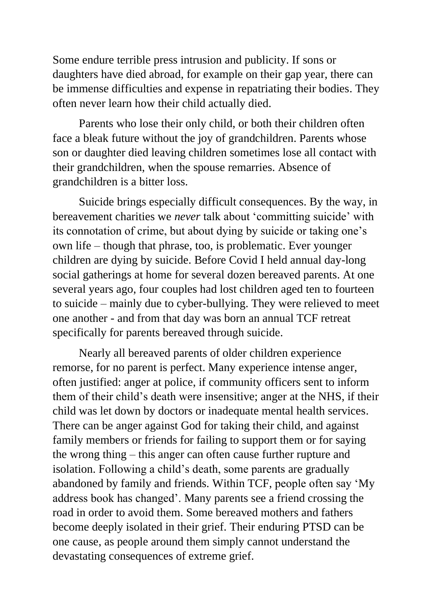Some endure terrible press intrusion and publicity. If sons or daughters have died abroad, for example on their gap year, there can be immense difficulties and expense in repatriating their bodies. They often never learn how their child actually died.

Parents who lose their only child, or both their children often face a bleak future without the joy of grandchildren. Parents whose son or daughter died leaving children sometimes lose all contact with their grandchildren, when the spouse remarries. Absence of grandchildren is a bitter loss.

Suicide brings especially difficult consequences. By the way, in bereavement charities we *never* talk about 'committing suicide' with its connotation of crime, but about dying by suicide or taking one's own life – though that phrase, too, is problematic. Ever younger children are dying by suicide. Before Covid I held annual day-long social gatherings at home for several dozen bereaved parents. At one several years ago, four couples had lost children aged ten to fourteen to suicide – mainly due to cyber-bullying. They were relieved to meet one another - and from that day was born an annual TCF retreat specifically for parents bereaved through suicide.

Nearly all bereaved parents of older children experience remorse, for no parent is perfect. Many experience intense anger, often justified: anger at police, if community officers sent to inform them of their child's death were insensitive; anger at the NHS, if their child was let down by doctors or inadequate mental health services. There can be anger against God for taking their child, and against family members or friends for failing to support them or for saying the wrong thing – this anger can often cause further rupture and isolation. Following a child's death, some parents are gradually abandoned by family and friends. Within TCF, people often say 'My address book has changed'. Many parents see a friend crossing the road in order to avoid them. Some bereaved mothers and fathers become deeply isolated in their grief. Their enduring PTSD can be one cause, as people around them simply cannot understand the devastating consequences of extreme grief.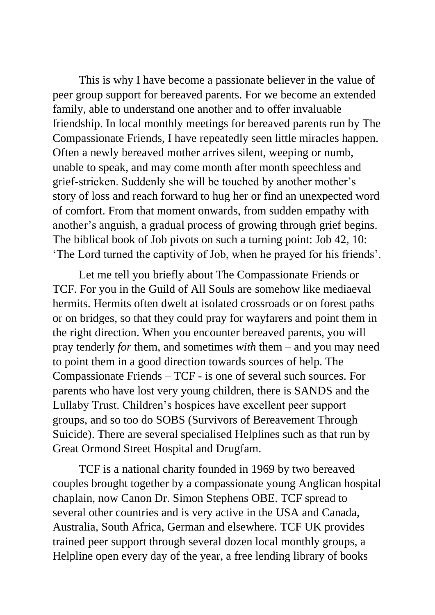This is why I have become a passionate believer in the value of peer group support for bereaved parents. For we become an extended family, able to understand one another and to offer invaluable friendship. In local monthly meetings for bereaved parents run by The Compassionate Friends, I have repeatedly seen little miracles happen. Often a newly bereaved mother arrives silent, weeping or numb, unable to speak, and may come month after month speechless and grief-stricken. Suddenly she will be touched by another mother's story of loss and reach forward to hug her or find an unexpected word of comfort. From that moment onwards, from sudden empathy with another's anguish, a gradual process of growing through grief begins. The biblical book of Job pivots on such a turning point: Job 42, 10: 'The Lord turned the captivity of Job, when he prayed for his friends'.

Let me tell you briefly about The Compassionate Friends or TCF. For you in the Guild of All Souls are somehow like mediaeval hermits. Hermits often dwelt at isolated crossroads or on forest paths or on bridges, so that they could pray for wayfarers and point them in the right direction. When you encounter bereaved parents, you will pray tenderly *for* them, and sometimes *with* them – and you may need to point them in a good direction towards sources of help. The Compassionate Friends – TCF - is one of several such sources. For parents who have lost very young children, there is SANDS and the Lullaby Trust. Children's hospices have excellent peer support groups, and so too do SOBS (Survivors of Bereavement Through Suicide). There are several specialised Helplines such as that run by Great Ormond Street Hospital and Drugfam.

TCF is a national charity founded in 1969 by two bereaved couples brought together by a compassionate young Anglican hospital chaplain, now Canon Dr. Simon Stephens OBE. TCF spread to several other countries and is very active in the USA and Canada, Australia, South Africa, German and elsewhere. TCF UK provides trained peer support through several dozen local monthly groups, a Helpline open every day of the year, a free lending library of books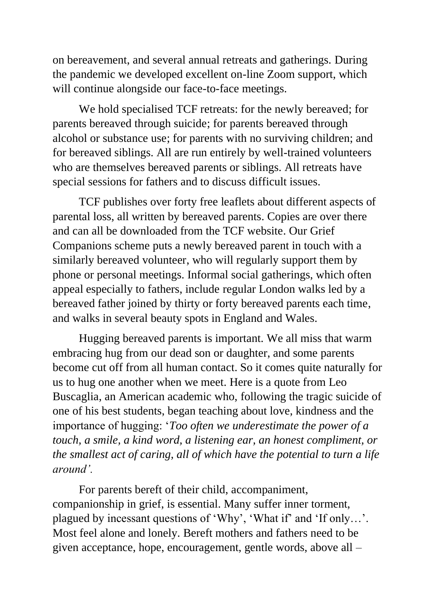on bereavement, and several annual retreats and gatherings. During the pandemic we developed excellent on-line Zoom support, which will continue alongside our face-to-face meetings.

We hold specialised TCF retreats: for the newly bereaved; for parents bereaved through suicide; for parents bereaved through alcohol or substance use; for parents with no surviving children; and for bereaved siblings. All are run entirely by well-trained volunteers who are themselves bereaved parents or siblings. All retreats have special sessions for fathers and to discuss difficult issues.

TCF publishes over forty free leaflets about different aspects of parental loss, all written by bereaved parents. Copies are over there and can all be downloaded from the TCF website. Our Grief Companions scheme puts a newly bereaved parent in touch with a similarly bereaved volunteer, who will regularly support them by phone or personal meetings. Informal social gatherings, which often appeal especially to fathers, include regular London walks led by a bereaved father joined by thirty or forty bereaved parents each time, and walks in several beauty spots in England and Wales.

Hugging bereaved parents is important. We all miss that warm embracing hug from our dead son or daughter, and some parents become cut off from all human contact. So it comes quite naturally for us to hug one another when we meet. Here is a quote from Leo Buscaglia, an American academic who, following the tragic suicide of one of his best students, began teaching about love, kindness and the importance of hugging: '*Too often we underestimate the power of a touch, a smile, a kind word, a listening ear, an honest compliment, or the smallest act of caring, all of which have the potential to turn a life around'.*

For parents bereft of their child, accompaniment, companionship in grief, is essential. Many suffer inner torment, plagued by incessant questions of 'Why', 'What if' and 'If only…'. Most feel alone and lonely. Bereft mothers and fathers need to be given acceptance, hope, encouragement, gentle words, above all –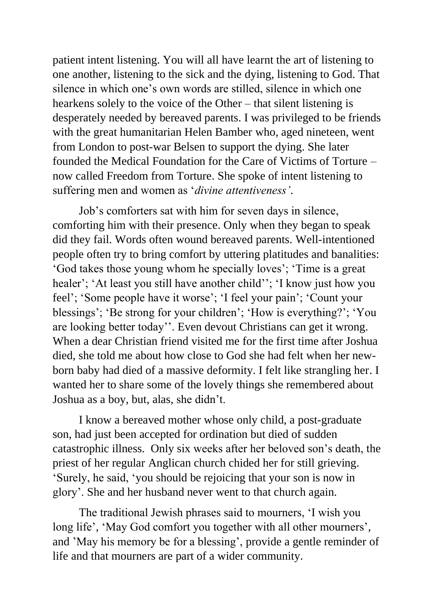patient intent listening. You will all have learnt the art of listening to one another, listening to the sick and the dying, listening to God. That silence in which one's own words are stilled, silence in which one hearkens solely to the voice of the Other – that silent listening is desperately needed by bereaved parents. I was privileged to be friends with the great humanitarian Helen Bamber who, aged nineteen, went from London to post-war Belsen to support the dying. She later founded the Medical Foundation for the Care of Victims of Torture – now called Freedom from Torture. She spoke of intent listening to suffering men and women as '*divine attentiveness'*.

Job's comforters sat with him for seven days in silence, comforting him with their presence. Only when they began to speak did they fail. Words often wound bereaved parents. Well-intentioned people often try to bring comfort by uttering platitudes and banalities: 'God takes those young whom he specially loves'; 'Time is a great healer'; 'At least you still have another child''; 'I know just how you feel'; 'Some people have it worse'; 'I feel your pain'; 'Count your blessings'; 'Be strong for your children'; 'How is everything?'; 'You are looking better today''. Even devout Christians can get it wrong. When a dear Christian friend visited me for the first time after Joshua died, she told me about how close to God she had felt when her newborn baby had died of a massive deformity. I felt like strangling her. I wanted her to share some of the lovely things she remembered about Joshua as a boy, but, alas, she didn't.

I know a bereaved mother whose only child, a post-graduate son, had just been accepted for ordination but died of sudden catastrophic illness. Only six weeks after her beloved son's death, the priest of her regular Anglican church chided her for still grieving. 'Surely, he said, 'you should be rejoicing that your son is now in glory'. She and her husband never went to that church again.

The traditional Jewish phrases said to mourners, 'I wish you long life', 'May God comfort you together with all other mourners', and 'May his memory be for a blessing', provide a gentle reminder of life and that mourners are part of a wider community.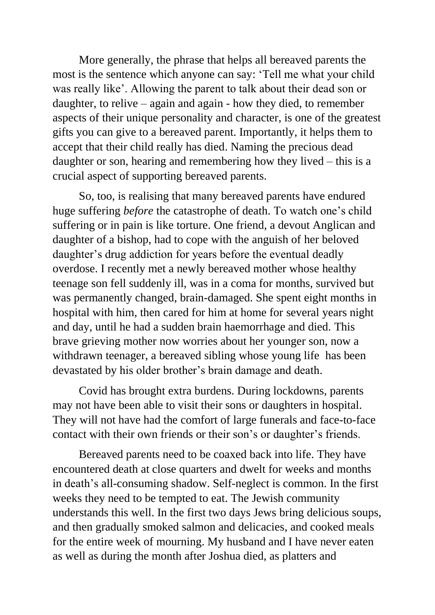More generally, the phrase that helps all bereaved parents the most is the sentence which anyone can say: 'Tell me what your child was really like'. Allowing the parent to talk about their dead son or daughter, to relive – again and again - how they died, to remember aspects of their unique personality and character, is one of the greatest gifts you can give to a bereaved parent. Importantly, it helps them to accept that their child really has died. Naming the precious dead daughter or son, hearing and remembering how they lived – this is a crucial aspect of supporting bereaved parents.

So, too, is realising that many bereaved parents have endured huge suffering *before* the catastrophe of death. To watch one's child suffering or in pain is like torture. One friend, a devout Anglican and daughter of a bishop, had to cope with the anguish of her beloved daughter's drug addiction for years before the eventual deadly overdose. I recently met a newly bereaved mother whose healthy teenage son fell suddenly ill, was in a coma for months, survived but was permanently changed, brain-damaged. She spent eight months in hospital with him, then cared for him at home for several years night and day, until he had a sudden brain haemorrhage and died. This brave grieving mother now worries about her younger son, now a withdrawn teenager, a bereaved sibling whose young life has been devastated by his older brother's brain damage and death.

Covid has brought extra burdens. During lockdowns, parents may not have been able to visit their sons or daughters in hospital. They will not have had the comfort of large funerals and face-to-face contact with their own friends or their son's or daughter's friends.

Bereaved parents need to be coaxed back into life. They have encountered death at close quarters and dwelt for weeks and months in death's all-consuming shadow. Self-neglect is common. In the first weeks they need to be tempted to eat. The Jewish community understands this well. In the first two days Jews bring delicious soups, and then gradually smoked salmon and delicacies, and cooked meals for the entire week of mourning. My husband and I have never eaten as well as during the month after Joshua died, as platters and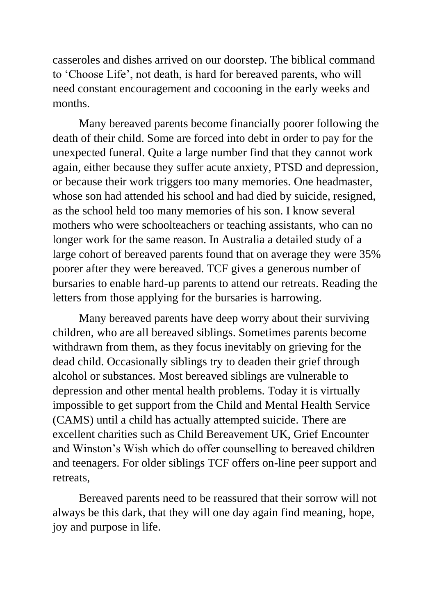casseroles and dishes arrived on our doorstep. The biblical command to 'Choose Life', not death, is hard for bereaved parents, who will need constant encouragement and cocooning in the early weeks and months.

Many bereaved parents become financially poorer following the death of their child. Some are forced into debt in order to pay for the unexpected funeral. Quite a large number find that they cannot work again, either because they suffer acute anxiety, PTSD and depression, or because their work triggers too many memories. One headmaster, whose son had attended his school and had died by suicide, resigned, as the school held too many memories of his son. I know several mothers who were schoolteachers or teaching assistants, who can no longer work for the same reason. In Australia a detailed study of a large cohort of bereaved parents found that on average they were 35% poorer after they were bereaved. TCF gives a generous number of bursaries to enable hard-up parents to attend our retreats. Reading the letters from those applying for the bursaries is harrowing.

Many bereaved parents have deep worry about their surviving children, who are all bereaved siblings. Sometimes parents become withdrawn from them, as they focus inevitably on grieving for the dead child. Occasionally siblings try to deaden their grief through alcohol or substances. Most bereaved siblings are vulnerable to depression and other mental health problems. Today it is virtually impossible to get support from the Child and Mental Health Service (CAMS) until a child has actually attempted suicide. There are excellent charities such as Child Bereavement UK, Grief Encounter and Winston's Wish which do offer counselling to bereaved children and teenagers. For older siblings TCF offers on-line peer support and retreats,

Bereaved parents need to be reassured that their sorrow will not always be this dark, that they will one day again find meaning, hope, joy and purpose in life.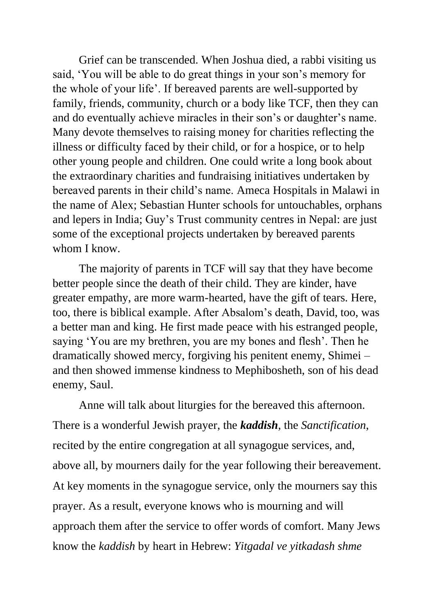Grief can be transcended. When Joshua died, a rabbi visiting us said, 'You will be able to do great things in your son's memory for the whole of your life'. If bereaved parents are well-supported by family, friends, community, church or a body like TCF, then they can and do eventually achieve miracles in their son's or daughter's name. Many devote themselves to raising money for charities reflecting the illness or difficulty faced by their child, or for a hospice, or to help other young people and children. One could write a long book about the extraordinary charities and fundraising initiatives undertaken by bereaved parents in their child's name. Ameca Hospitals in Malawi in the name of Alex; Sebastian Hunter schools for untouchables, orphans and lepers in India; Guy's Trust community centres in Nepal: are just some of the exceptional projects undertaken by bereaved parents whom I know.

The majority of parents in TCF will say that they have become better people since the death of their child. They are kinder, have greater empathy, are more warm-hearted, have the gift of tears. Here, too, there is biblical example. After Absalom's death, David, too, was a better man and king. He first made peace with his estranged people, saying 'You are my brethren, you are my bones and flesh'. Then he dramatically showed mercy, forgiving his penitent enemy, Shimei – and then showed immense kindness to Mephibosheth, son of his dead enemy, Saul.

Anne will talk about liturgies for the bereaved this afternoon. There is a wonderful Jewish prayer, the *kaddish*, the *Sanctification*, recited by the entire congregation at all synagogue services, and, above all, by mourners daily for the year following their bereavement. At key moments in the synagogue service, only the mourners say this prayer. As a result, everyone knows who is mourning and will approach them after the service to offer words of comfort. Many Jews know the *kaddish* by heart in Hebrew: *Yitgadal ve yitkadash shme*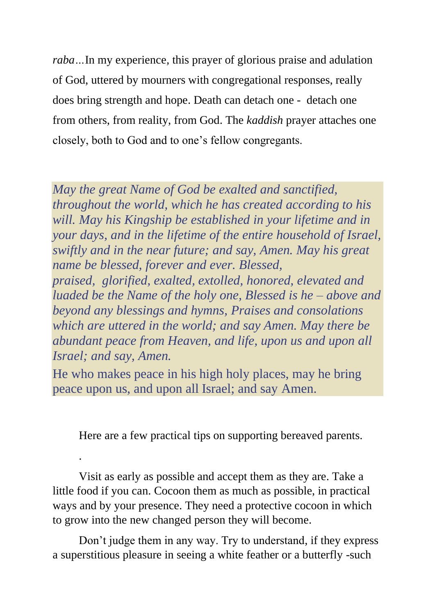*raba…*In my experience*,* this prayer of glorious praise and adulation of God, uttered by mourners with congregational responses, really does bring strength and hope. Death can detach one - detach one from others, from reality, from God. The *kaddish* prayer attaches one closely, both to God and to one's fellow congregants.

*May the great Name of God be exalted and sanctified, throughout the world, which he has created according to his will. May his Kingship be established in your lifetime and in your days, and in the lifetime of the entire household of Israel, swiftly and in the near future; and say, Amen. May his great name be blessed, forever and ever. Blessed,*

*praised, glorified, exalted, extolled, honored, elevated and luaded be the Name of the holy one, Blessed is he – above and beyond any blessings and hymns, Praises and consolations which are uttered in the world; and say Amen. May there be abundant peace from Heaven, and life, upon us and upon all Israel; and say, Amen.*

He who makes peace in his high holy places, may he bring peace upon us, and upon all Israel; and say Amen.

Here are a few practical tips on supporting bereaved parents.

Visit as early as possible and accept them as they are. Take a little food if you can. Cocoon them as much as possible, in practical ways and by your presence. They need a protective cocoon in which to grow into the new changed person they will become.

.

Don't judge them in any way. Try to understand, if they express a superstitious pleasure in seeing a white feather or a butterfly -such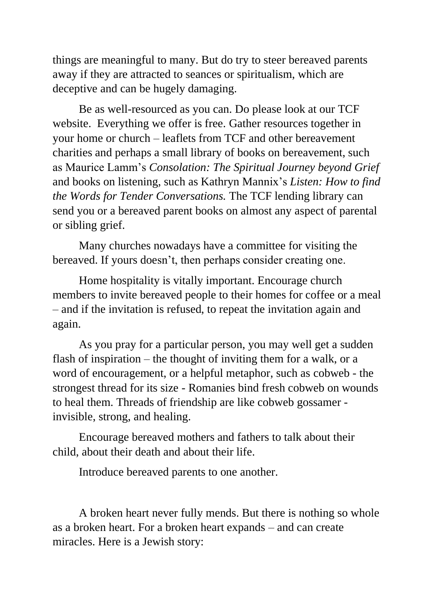things are meaningful to many. But do try to steer bereaved parents away if they are attracted to seances or spiritualism, which are deceptive and can be hugely damaging.

Be as well-resourced as you can. Do please look at our TCF website. Everything we offer is free. Gather resources together in your home or church – leaflets from TCF and other bereavement charities and perhaps a small library of books on bereavement, such as Maurice Lamm's *Consolation: The Spiritual Journey beyond Grief* and books on listening, such as Kathryn Mannix's *Listen: How to find the Words for Tender Conversations.* The TCF lending library can send you or a bereaved parent books on almost any aspect of parental or sibling grief.

Many churches nowadays have a committee for visiting the bereaved. If yours doesn't, then perhaps consider creating one.

Home hospitality is vitally important. Encourage church members to invite bereaved people to their homes for coffee or a meal – and if the invitation is refused, to repeat the invitation again and again.

As you pray for a particular person, you may well get a sudden flash of inspiration – the thought of inviting them for a walk, or a word of encouragement, or a helpful metaphor, such as cobweb - the strongest thread for its size - Romanies bind fresh cobweb on wounds to heal them. Threads of friendship are like cobweb gossamer invisible, strong, and healing.

Encourage bereaved mothers and fathers to talk about their child, about their death and about their life.

Introduce bereaved parents to one another.

A broken heart never fully mends. But there is nothing so whole as a broken heart. For a broken heart expands – and can create miracles. Here is a Jewish story: